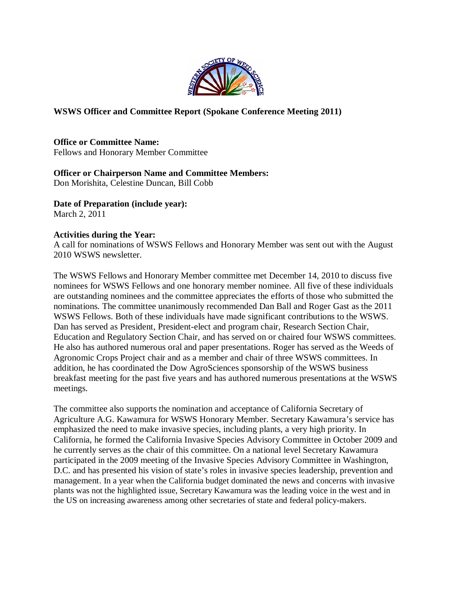

## **WSWS Officer and Committee Report (Spokane Conference Meeting 2011)**

**Office or Committee Name:** Fellows and Honorary Member Committee

# **Officer or Chairperson Name and Committee Members:**

Don Morishita, Celestine Duncan, Bill Cobb

**Date of Preparation (include year):**

March 2, 2011

# **Activities during the Year:**

A call for nominations of WSWS Fellows and Honorary Member was sent out with the August 2010 WSWS newsletter.

The WSWS Fellows and Honorary Member committee met December 14, 2010 to discuss five nominees for WSWS Fellows and one honorary member nominee. All five of these individuals are outstanding nominees and the committee appreciates the efforts of those who submitted the nominations. The committee unanimously recommended Dan Ball and Roger Gast as the 2011 WSWS Fellows. Both of these individuals have made significant contributions to the WSWS. Dan has served as President, President-elect and program chair, Research Section Chair, Education and Regulatory Section Chair, and has served on or chaired four WSWS committees. He also has authored numerous oral and paper presentations. Roger has served as the Weeds of Agronomic Crops Project chair and as a member and chair of three WSWS committees. In addition, he has coordinated the Dow AgroSciences sponsorship of the WSWS business breakfast meeting for the past five years and has authored numerous presentations at the WSWS meetings.

The committee also supports the nomination and acceptance of California Secretary of Agriculture A.G. Kawamura for WSWS Honorary Member. Secretary Kawamura's service has emphasized the need to make invasive species, including plants, a very high priority. In California, he formed the California Invasive Species Advisory Committee in October 2009 and he currently serves as the chair of this committee. On a national level Secretary Kawamura participated in the 2009 meeting of the Invasive Species Advisory Committee in Washington, D.C. and has presented his vision of state's roles in invasive species leadership, prevention and management. In a year when the California budget dominated the news and concerns with invasive plants was not the highlighted issue, Secretary Kawamura was the leading voice in the west and in the US on increasing awareness among other secretaries of state and federal policy-makers.